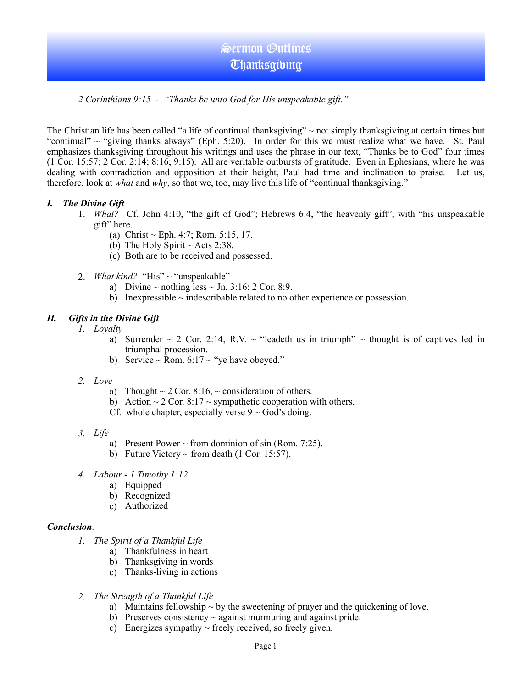## Sermon Outlines **Thanksgibing**

#### *2 Corinthians 9:15 - "Thanks be unto God for His unspeakable gift."*

The Christian life has been called "a life of continual thanksgiving"  $\sim$  not simply thanksgiving at certain times but "continual"  $\sim$  "giving thanks always" (Eph. 5:20). In order for this we must realize what we have. St. Paul emphasizes thanksgiving throughout his writings and uses the phrase in our text, "Thanks be to God" four times (1 Cor. 15:57; 2 Cor. 2:14; 8:16; 9:15). All are veritable outbursts of gratitude. Even in Ephesians, where he was dealing with contradiction and opposition at their height, Paul had time and inclination to praise. Let us, therefore, look at *what* and *why*, so that we, too, may live this life of "continual thanksgiving."

#### *I. The Divine Gift*

- 1. *What?* Cf. John 4:10, "the gift of God"; Hebrews 6:4, "the heavenly gift"; with "his unspeakable gift" here.
	- (a) Christ  $\sim$  Eph. 4:7; Rom. 5:15, 17.
	- (b) The Holy Spirit  $\sim$  Acts 2:38.
	- (c) Both are to be received and possessed.
- 2. *What kind?* "His" ~ "unspeakable"
	- a) Divine  $\sim$  nothing less  $\sim$  Jn. 3:16; 2 Cor. 8:9.
	- b) Inexpressible  $\sim$  indescribable related to no other experience or possession.

#### *II. Gifts in the Divine Gift*

- *1. Loyalty*
	- a) Surrender  $\sim$  2 Cor. 2:14, R.V.  $\sim$  "leadeth us in triumph"  $\sim$  thought is of captives led in triumphal procession.
	- b) Service ~ Rom. 6:17 ~ "ye have obeyed."
- *2. Love*
	- a) Thought  $\sim$  2 Cor. 8:16,  $\sim$  consideration of others.
	- b) Action  $\sim$  2 Cor. 8:17  $\sim$  sympathetic cooperation with others.
	- Cf. whole chapter, especially verse  $9 \sim$  God's doing.
- *3. Life*
	- a) Present Power  $\sim$  from dominion of sin (Rom. 7:25).
	- b) Future Victory  $\sim$  from death (1 Cor. 15:57).
- *4. Labour 1 Timothy 1:12*
	- a) Equipped
	- b) Recognized
	- c) Authorized

#### *Conclusion:*

- *1. The Spirit of a Thankful Life* 
	- a) Thankfulness in heart
	- b) Thanksgiving in words
	- c) Thanks-living in actions
- *2. The Strength of a Thankful Life* 
	- a) Maintains fellowship  $\sim$  by the sweetening of prayer and the quickening of love.
	- b) Preserves consistency  $\sim$  against murmuring and against pride.
	- c) Energizes sympathy  $\sim$  freely received, so freely given.